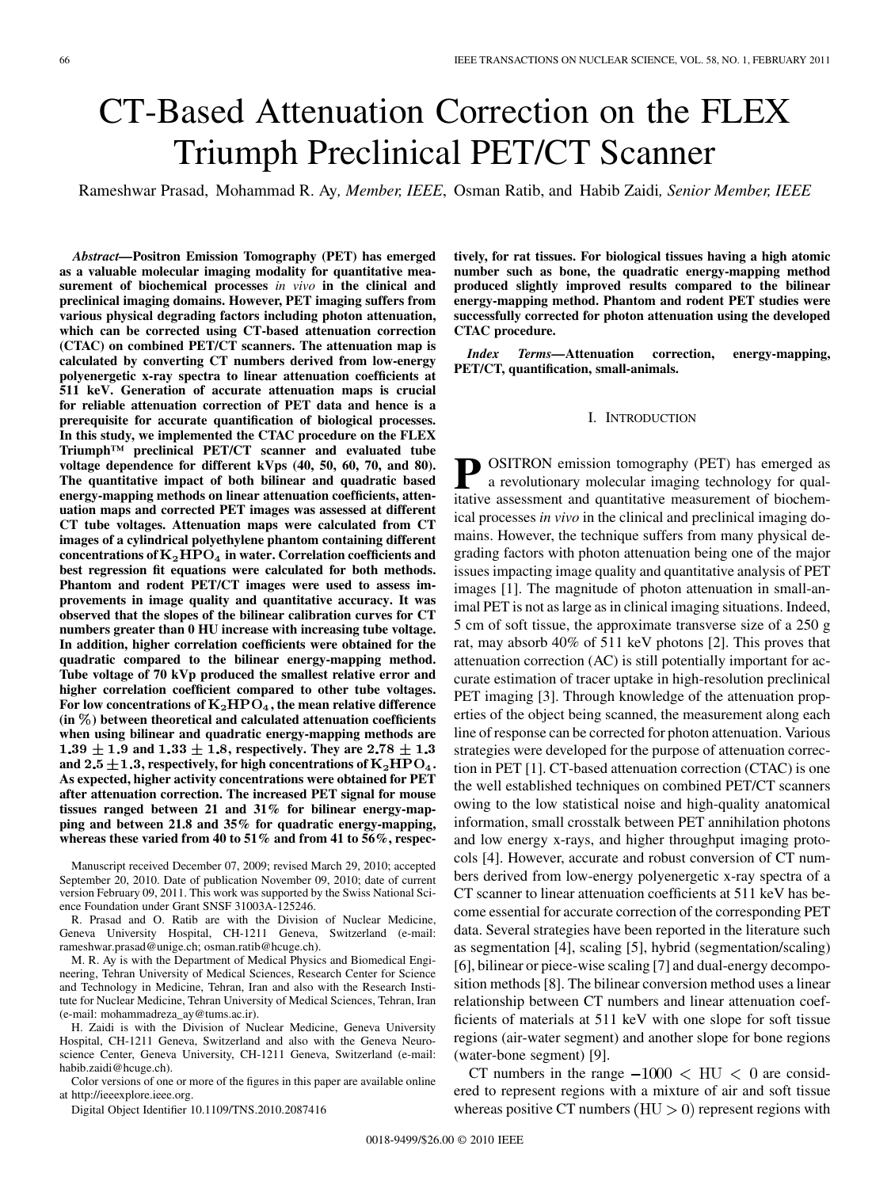# CT-Based Attenuation Correction on the FLEX Triumph Preclinical PET/CT Scanner

Rameshwar Prasad, Mohammad R. Ay*, Member, IEEE*, Osman Ratib, and Habib Zaidi*, Senior Member, IEEE*

*Abstract—***Positron Emission Tomography (PET) has emerged as a valuable molecular imaging modality for quantitative measurement of biochemical processes** *in vivo* **in the clinical and preclinical imaging domains. However, PET imaging suffers from various physical degrading factors including photon attenuation, which can be corrected using CT-based attenuation correction (CTAC) on combined PET/CT scanners. The attenuation map is calculated by converting CT numbers derived from low-energy polyenergetic x-ray spectra to linear attenuation coefficients at 511 keV. Generation of accurate attenuation maps is crucial for reliable attenuation correction of PET data and hence is a prerequisite for accurate quantification of biological processes. In this study, we implemented the CTAC procedure on the FLEX Triumph™ preclinical PET/CT scanner and evaluated tube voltage dependence for different kVps (40, 50, 60, 70, and 80). The quantitative impact of both bilinear and quadratic based energy-mapping methods on linear attenuation coefficients, attenuation maps and corrected PET images was assessed at different CT tube voltages. Attenuation maps were calculated from CT images of a cylindrical polyethylene phantom containing different**  $\frac{1}{2}$  concentrations of  $\mathrm{K}_2\mathrm{HPO}_4$  in water. Correlation coefficients and **best regression fit equations were calculated for both methods. Phantom and rodent PET/CT images were used to assess improvements in image quality and quantitative accuracy. It was observed that the slopes of the bilinear calibration curves for CT numbers greater than 0 HU increase with increasing tube voltage. In addition, higher correlation coefficients were obtained for the quadratic compared to the bilinear energy-mapping method. Tube voltage of 70 kVp produced the smallest relative error and higher correlation coefficient compared to other tube voltages.** For low concentrations of  $K_2HPO_4$ , the mean relative difference **(in ) between theoretical and calculated attenuation coefficients when using bilinear and quadratic energy-mapping methods are**  $1.39 \pm 1.9$  and  $1.33 \pm 1.8$ , respectively. They are 2.78  $\pm 1.3$ and  $2.5 \pm 1.3$ , respectively, for high concentrations of  $\text{K}_2\text{HPO}_4$ . **As expected, higher activity concentrations were obtained for PET after attenuation correction. The increased PET signal for mouse tissues ranged between 21 and 31% for bilinear energy-mapping and between 21.8 and 35% for quadratic energy-mapping, whereas these varied from 40 to 51% and from 41 to 56%, respec-**

Manuscript received December 07, 2009; revised March 29, 2010; accepted September 20, 2010. Date of publication November 09, 2010; date of current version February 09, 2011. This work was supported by the Swiss National Science Foundation under Grant SNSF 31003A-125246.

R. Prasad and O. Ratib are with the Division of Nuclear Medicine, Geneva University Hospital, CH-1211 Geneva, Switzerland (e-mail: rameshwar.prasad@unige.ch; osman.ratib@hcuge.ch).

M. R. Ay is with the Department of Medical Physics and Biomedical Engineering, Tehran University of Medical Sciences, Research Center for Science and Technology in Medicine, Tehran, Iran and also with the Research Institute for Nuclear Medicine, Tehran University of Medical Sciences, Tehran, Iran (e-mail: mohammadreza\_ay@tums.ac.ir).

H. Zaidi is with the Division of Nuclear Medicine, Geneva University Hospital, CH-1211 Geneva, Switzerland and also with the Geneva Neuroscience Center, Geneva University, CH-1211 Geneva, Switzerland (e-mail: habib.zaidi@hcuge.ch).

Color versions of one or more of the figures in this paper are available online at http://ieeexplore.ieee.org.

Digital Object Identifier 10.1109/TNS.2010.2087416

**tively, for rat tissues. For biological tissues having a high atomic number such as bone, the quadratic energy-mapping method produced slightly improved results compared to the bilinear energy-mapping method. Phantom and rodent PET studies were successfully corrected for photon attenuation using the developed CTAC procedure.**

*Index Terms—***Attenuation correction, energy-mapping, PET/CT, quantification, small-animals.**

## I. INTRODUCTION

**P** OSITRON emission tomography (PET) has emerged as a revolutionary molecular imaging technology for qualitative assessment and quantitative measurement of biochemical processes *in vivo* in the clinical and preclinical imaging domains. However, the technique suffers from many physical degrading factors with photon attenuation being one of the major issues impacting image quality and quantitative analysis of PET images [1]. The magnitude of photon attenuation in small-animal PET is not as large as in clinical imaging situations. Indeed, 5 cm of soft tissue, the approximate transverse size of a 250 g rat, may absorb 40% of 511 keV photons [2]. This proves that attenuation correction (AC) is still potentially important for accurate estimation of tracer uptake in high-resolution preclinical PET imaging [3]. Through knowledge of the attenuation properties of the object being scanned, the measurement along each line of response can be corrected for photon attenuation. Various strategies were developed for the purpose of attenuation correction in PET [1]. CT-based attenuation correction (CTAC) is one the well established techniques on combined PET/CT scanners owing to the low statistical noise and high-quality anatomical information, small crosstalk between PET annihilation photons and low energy x-rays, and higher throughput imaging protocols [4]. However, accurate and robust conversion of CT numbers derived from low-energy polyenergetic x-ray spectra of a CT scanner to linear attenuation coefficients at 511 keV has become essential for accurate correction of the corresponding PET data. Several strategies have been reported in the literature such as segmentation [4], scaling [5], hybrid (segmentation/scaling) [6], bilinear or piece-wise scaling [7] and dual-energy decomposition methods [8]. The bilinear conversion method uses a linear relationship between CT numbers and linear attenuation coefficients of materials at 511 keV with one slope for soft tissue regions (air-water segment) and another slope for bone regions (water-bone segment) [9].

CT numbers in the range  $-1000 < H<sub>U</sub> < 0$  are considered to represent regions with a mixture of air and soft tissue whereas positive CT numbers  $(HU > 0)$  represent regions with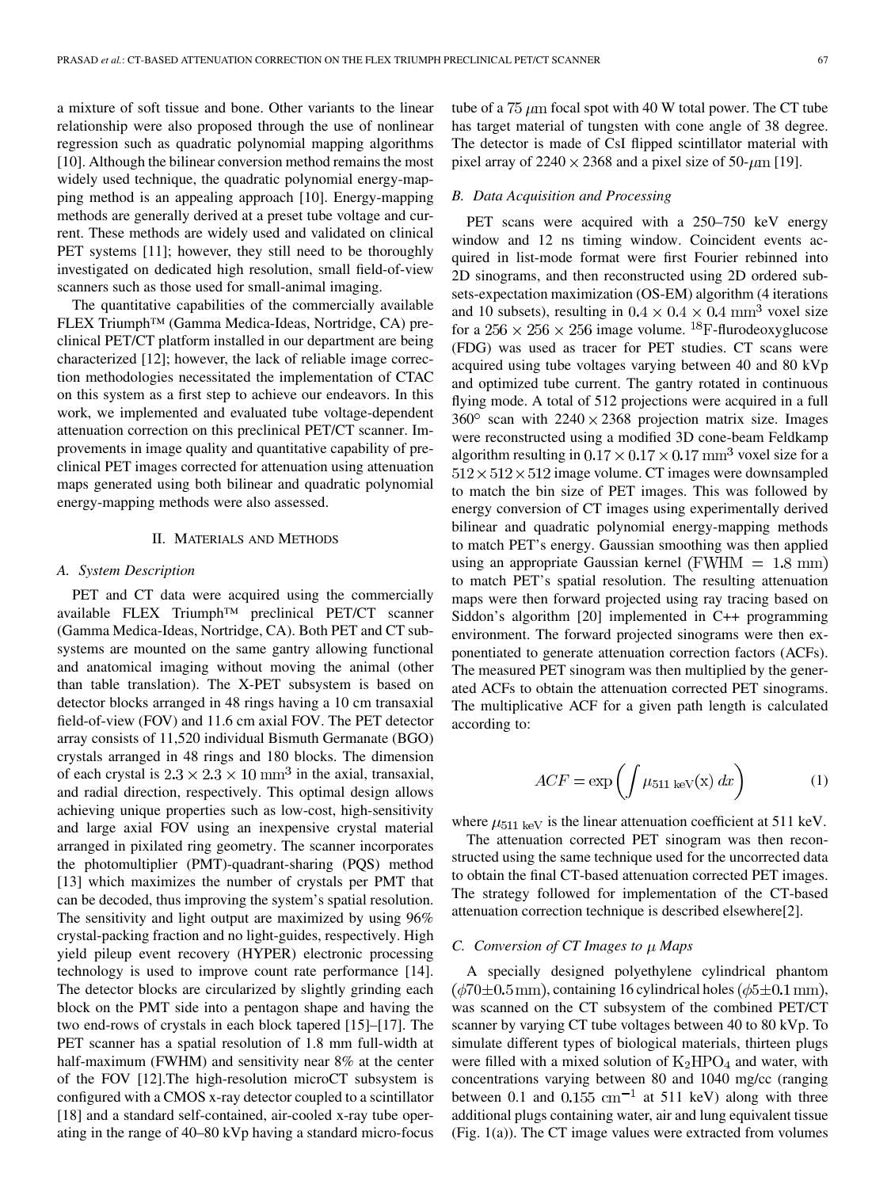a mixture of soft tissue and bone. Other variants to the linear relationship were also proposed through the use of nonlinear regression such as quadratic polynomial mapping algorithms [10]. Although the bilinear conversion method remains the most widely used technique, the quadratic polynomial energy-mapping method is an appealing approach [10]. Energy-mapping methods are generally derived at a preset tube voltage and current. These methods are widely used and validated on clinical PET systems [11]; however, they still need to be thoroughly investigated on dedicated high resolution, small field-of-view scanners such as those used for small-animal imaging.

The quantitative capabilities of the commercially available FLEX Triumph™ (Gamma Medica-Ideas, Nortridge, CA) preclinical PET/CT platform installed in our department are being characterized [12]; however, the lack of reliable image correction methodologies necessitated the implementation of CTAC on this system as a first step to achieve our endeavors. In this work, we implemented and evaluated tube voltage-dependent attenuation correction on this preclinical PET/CT scanner. Improvements in image quality and quantitative capability of preclinical PET images corrected for attenuation using attenuation maps generated using both bilinear and quadratic polynomial energy-mapping methods were also assessed.

## II. MATERIALS AND METHODS

#### *A. System Description*

PET and CT data were acquired using the commercially available FLEX Triumph™ preclinical PET/CT scanner (Gamma Medica-Ideas, Nortridge, CA). Both PET and CT subsystems are mounted on the same gantry allowing functional and anatomical imaging without moving the animal (other than table translation). The X-PET subsystem is based on detector blocks arranged in 48 rings having a 10 cm transaxial field-of-view (FOV) and 11.6 cm axial FOV. The PET detector array consists of 11,520 individual Bismuth Germanate (BGO) crystals arranged in 48 rings and 180 blocks. The dimension of each crystal is  $2.3 \times 2.3 \times 10 \text{ mm}^3$  in the axial, transaxial, and radial direction, respectively. This optimal design allows achieving unique properties such as low-cost, high-sensitivity and large axial FOV using an inexpensive crystal material arranged in pixilated ring geometry. The scanner incorporates the photomultiplier (PMT)-quadrant-sharing (PQS) method [13] which maximizes the number of crystals per PMT that can be decoded, thus improving the system's spatial resolution. The sensitivity and light output are maximized by using 96% crystal-packing fraction and no light-guides, respectively. High yield pileup event recovery (HYPER) electronic processing technology is used to improve count rate performance [14]. The detector blocks are circularized by slightly grinding each block on the PMT side into a pentagon shape and having the two end-rows of crystals in each block tapered [15]–[17]. The PET scanner has a spatial resolution of 1.8 mm full-width at half-maximum (FWHM) and sensitivity near 8% at the center of the FOV [12].The high-resolution microCT subsystem is configured with a CMOS x-ray detector coupled to a scintillator [18] and a standard self-contained, air-cooled x-ray tube operating in the range of 40–80 kVp having a standard micro-focus tube of a  $75 \mu m$  focal spot with 40 W total power. The CT tube has target material of tungsten with cone angle of 38 degree. The detector is made of CsI flipped scintillator material with pixel array of  $2240 \times 2368$  and a pixel size of 50- $\mu$ m [19].

#### *B. Data Acquisition and Processing*

PET scans were acquired with a 250–750 keV energy window and 12 ns timing window. Coincident events acquired in list-mode format were first Fourier rebinned into 2D sinograms, and then reconstructed using 2D ordered subsets-expectation maximization (OS-EM) algorithm (4 iterations and 10 subsets), resulting in  $0.4 \times 0.4 \times 0.4$  mm<sup>3</sup> voxel size for a  $256 \times 256 \times 256$  image volume. <sup>18</sup>F-flurodeoxyglucose (FDG) was used as tracer for PET studies. CT scans were acquired using tube voltages varying between 40 and 80 kVp and optimized tube current. The gantry rotated in continuous flying mode. A total of 512 projections were acquired in a full  $360^{\circ}$  scan with  $2240 \times 2368$  projection matrix size. Images were reconstructed using a modified 3D cone-beam Feldkamp algorithm resulting in  $0.17 \times 0.17 \times 0.17$  mm<sup>3</sup> voxel size for a  $512 \times 512 \times 512$  image volume. CT images were downsampled to match the bin size of PET images. This was followed by energy conversion of CT images using experimentally derived bilinear and quadratic polynomial energy-mapping methods to match PET's energy. Gaussian smoothing was then applied using an appropriate Gaussian kernel ( $FWHM = 1.8$  mm) to match PET's spatial resolution. The resulting attenuation maps were then forward projected using ray tracing based on Siddon's algorithm [20] implemented in C++ programming environment. The forward projected sinograms were then exponentiated to generate attenuation correction factors (ACFs). The measured PET sinogram was then multiplied by the generated ACFs to obtain the attenuation corrected PET sinograms. The multiplicative ACF for a given path length is calculated according to:

$$
ACF = \exp\left(\int \mu_{511 \text{ keV}}(\mathbf{x}) \, dx\right) \tag{1}
$$

where  $\mu_{511 \text{ keV}}$  is the linear attenuation coefficient at 511 keV.

The attenuation corrected PET sinogram was then reconstructed using the same technique used for the uncorrected data to obtain the final CT-based attenuation corrected PET images. The strategy followed for implementation of the CT-based attenuation correction technique is described elsewhere[2].

#### *C. Conversion of CT Images to Maps*

A specially designed polyethylene cylindrical phantom  $(\phi 70 \pm 0.5 \text{ mm})$ , containing 16 cylindrical holes  $(\phi 5 \pm 0.1 \text{ mm})$ , was scanned on the CT subsystem of the combined PET/CT scanner by varying CT tube voltages between 40 to 80 kVp. To simulate different types of biological materials, thirteen plugs were filled with a mixed solution of  $K_2HPO_4$  and water, with concentrations varying between 80 and 1040 mg/cc (ranging between 0.1 and  $0.155$  cm<sup>-1</sup> at 511 keV) along with three additional plugs containing water, air and lung equivalent tissue (Fig. 1(a)). The CT image values were extracted from volumes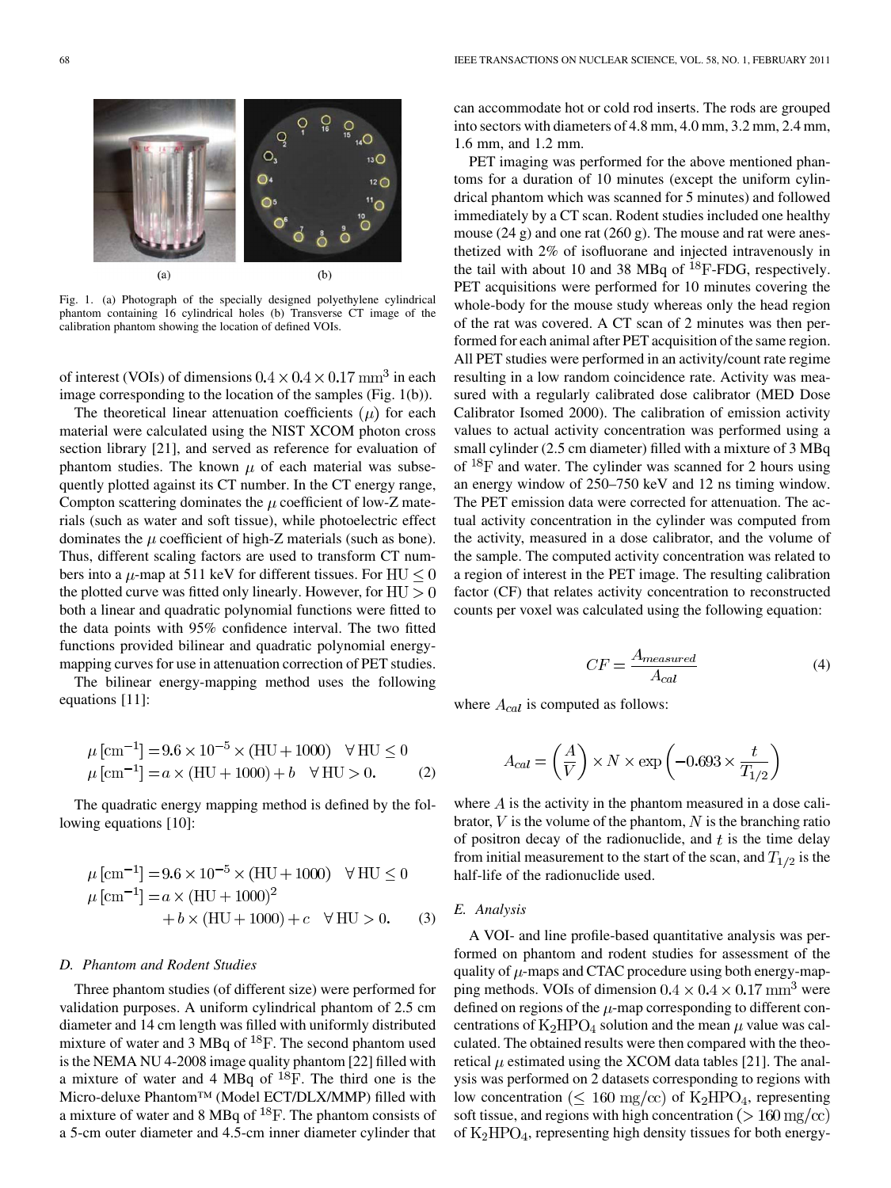

Fig. 1. (a) Photograph of the specially designed polyethylene cylindrical phantom containing 16 cylindrical holes (b) Transverse CT image of the calibration phantom showing the location of defined VOIs.

of interest (VOIs) of dimensions  $0.4 \times 0.4 \times 0.17$  mm<sup>3</sup> in each image corresponding to the location of the samples (Fig. 1(b)).

The theoretical linear attenuation coefficients  $(\mu)$  for each material were calculated using the NIST XCOM photon cross section library [21], and served as reference for evaluation of phantom studies. The known  $\mu$  of each material was subsequently plotted against its CT number. In the CT energy range, Compton scattering dominates the  $\mu$  coefficient of low-Z materials (such as water and soft tissue), while photoelectric effect dominates the  $\mu$  coefficient of high-Z materials (such as bone). Thus, different scaling factors are used to transform CT numbers into a  $\mu$ -map at 511 keV for different tissues. For HU  $\leq$  0 the plotted curve was fitted only linearly. However, for  $HU > 0$ both a linear and quadratic polynomial functions were fitted to the data points with 95% confidence interval. The two fitted functions provided bilinear and quadratic polynomial energymapping curves for use in attenuation correction of PET studies.

The bilinear energy-mapping method uses the following equations [11]:

$$
\mu \,\text{[cm}^{-1}\text{]} = 9.6 \times 10^{-5} \times (\text{HU} + 1000) \quad \forall \text{HU} \le 0
$$
  

$$
\mu \,\text{[cm}^{-1}\text{]} = a \times (\text{HU} + 1000) + b \quad \forall \text{HU} > 0. \tag{2}
$$

The quadratic energy mapping method is defined by the following equations [10]:

$$
\mu \text{ [cm}^{-1}\text{]} = 9.6 \times 10^{-5} \times (\text{HU} + 1000) \quad \forall \text{HU} \le 0
$$
  

$$
\mu \text{ [cm}^{-1}\text{]} = a \times (\text{HU} + 1000)^2
$$
  

$$
+ b \times (\text{HU} + 1000) + c \quad \forall \text{HU} > 0.
$$
 (3)

#### *D. Phantom and Rodent Studies*

Three phantom studies (of different size) were performed for validation purposes. A uniform cylindrical phantom of 2.5 cm diameter and 14 cm length was filled with uniformly distributed mixture of water and 3 MBq of  ${}^{18}F$ . The second phantom used is the NEMA NU 4-2008 image quality phantom [22] filled with a mixture of water and 4 MBq of  $^{18}$ F. The third one is the Micro-deluxe Phantom™ (Model ECT/DLX/MMP) filled with a mixture of water and 8 MBq of  $^{18}F$ . The phantom consists of a 5-cm outer diameter and 4.5-cm inner diameter cylinder that can accommodate hot or cold rod inserts. The rods are grouped into sectors with diameters of 4.8 mm, 4.0 mm, 3.2 mm, 2.4 mm, 1.6 mm, and 1.2 mm.

PET imaging was performed for the above mentioned phantoms for a duration of 10 minutes (except the uniform cylindrical phantom which was scanned for 5 minutes) and followed immediately by a CT scan. Rodent studies included one healthy mouse (24 g) and one rat (260 g). The mouse and rat were anesthetized with 2% of isofluorane and injected intravenously in the tail with about 10 and 38 MBq of  $^{18}$ F-FDG, respectively. PET acquisitions were performed for 10 minutes covering the whole-body for the mouse study whereas only the head region of the rat was covered. A CT scan of 2 minutes was then performed for each animal after PET acquisition of the same region. All PET studies were performed in an activity/count rate regime resulting in a low random coincidence rate. Activity was measured with a regularly calibrated dose calibrator (MED Dose Calibrator Isomed 2000). The calibration of emission activity values to actual activity concentration was performed using a small cylinder (2.5 cm diameter) filled with a mixture of 3 MBq of  $^{18}$ F and water. The cylinder was scanned for 2 hours using an energy window of 250–750 keV and 12 ns timing window. The PET emission data were corrected for attenuation. The actual activity concentration in the cylinder was computed from the activity, measured in a dose calibrator, and the volume of the sample. The computed activity concentration was related to a region of interest in the PET image. The resulting calibration factor (CF) that relates activity concentration to reconstructed counts per voxel was calculated using the following equation:

$$
CF = \frac{A_{measured}}{A_{cal}} \tag{4}
$$

where  $A_{cal}$  is computed as follows:

$$
A_{cal} = \left(\frac{A}{V}\right) \times N \times \exp\left(-0.693 \times \frac{t}{T_{1/2}}\right)
$$

where  $\vec{A}$  is the activity in the phantom measured in a dose calibrator,  $V$  is the volume of the phantom,  $N$  is the branching ratio of positron decay of the radionuclide, and  $t$  is the time delay from initial measurement to the start of the scan, and  $T_{1/2}$  is the half-life of the radionuclide used.

#### *E. Analysis*

A VOI- and line profile-based quantitative analysis was performed on phantom and rodent studies for assessment of the quality of  $\mu$ -maps and CTAC procedure using both energy-mapping methods. VOIs of dimension  $0.4 \times 0.4 \times 0.17$  mm<sup>3</sup> were defined on regions of the  $\mu$ -map corresponding to different concentrations of  $K_2HPO_4$  solution and the mean  $\mu$  value was calculated. The obtained results were then compared with the theoretical  $\mu$  estimated using the XCOM data tables [21]. The analysis was performed on 2 datasets corresponding to regions with low concentration ( $\leq 160 \text{ mg/cc}$ ) of  $\text{K}_2\text{HPO}_4$ , representing soft tissue, and regions with high concentration ( $> 160 \text{ mg/cc}$ ) of  $K_2HPO_4$ , representing high density tissues for both energy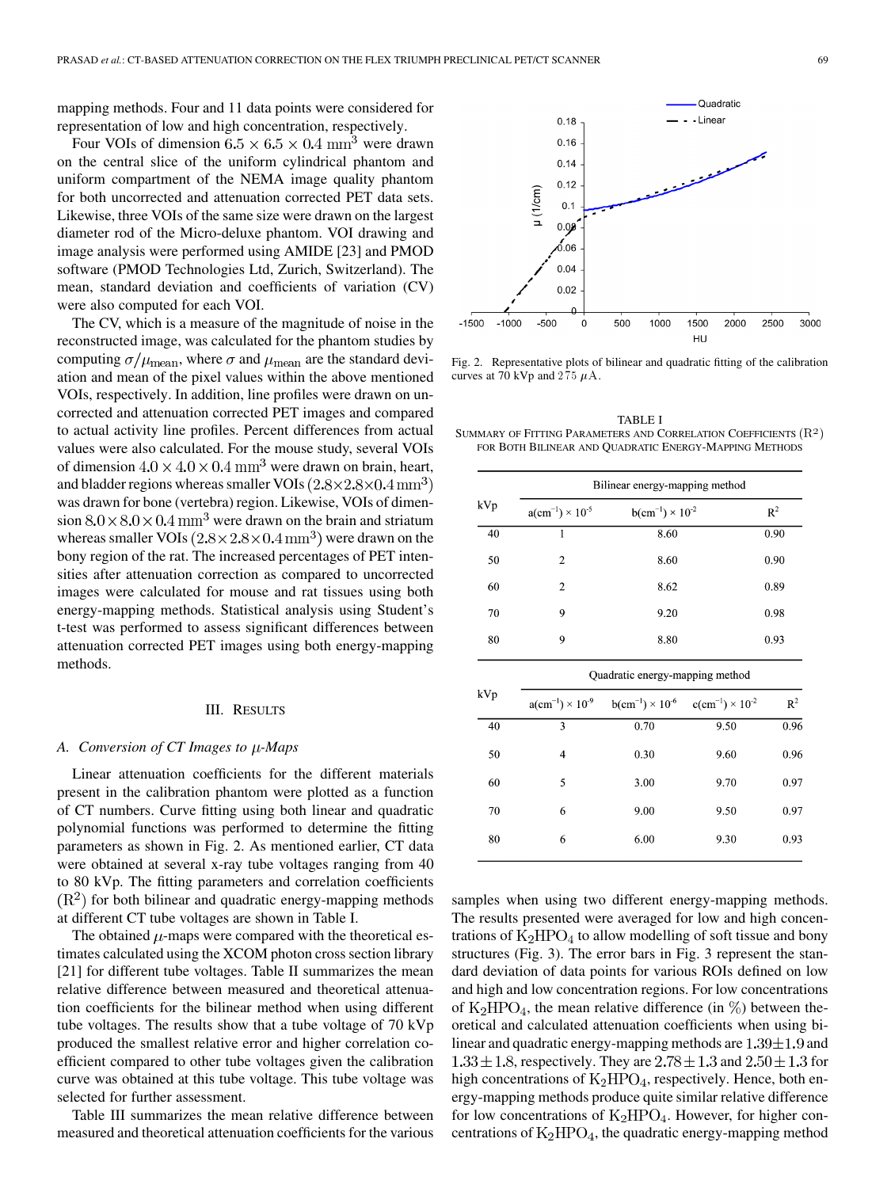mapping methods. Four and 11 data points were considered for representation of low and high concentration, respectively.

Four VOIs of dimension  $6.5 \times 6.5 \times 0.4$  mm<sup>3</sup> were drawn on the central slice of the uniform cylindrical phantom and uniform compartment of the NEMA image quality phantom for both uncorrected and attenuation corrected PET data sets. Likewise, three VOIs of the same size were drawn on the largest diameter rod of the Micro-deluxe phantom. VOI drawing and image analysis were performed using AMIDE [23] and PMOD software (PMOD Technologies Ltd, Zurich, Switzerland). The mean, standard deviation and coefficients of variation (CV) were also computed for each VOI.

The CV, which is a measure of the magnitude of noise in the reconstructed image, was calculated for the phantom studies by computing  $\sigma/\mu_{\text{mean}}$ , where  $\sigma$  and  $\mu_{\text{mean}}$  are the standard deviation and mean of the pixel values within the above mentioned VOIs, respectively. In addition, line profiles were drawn on uncorrected and attenuation corrected PET images and compared to actual activity line profiles. Percent differences from actual values were also calculated. For the mouse study, several VOIs of dimension  $4.0 \times 4.0 \times 0.4$  mm<sup>3</sup> were drawn on brain, heart, and bladder regions whereas smaller VOIs  $(2.8 \times 2.8 \times 0.4 \text{ mm}^3)$ was drawn for bone (vertebra) region. Likewise, VOIs of dimension  $8.0 \times 8.0 \times 0.4$  mm<sup>3</sup> were drawn on the brain and striatum whereas smaller VOIs  $(2.8 \times 2.8 \times 0.4 \text{ mm}^3)$  were drawn on the bony region of the rat. The increased percentages of PET intensities after attenuation correction as compared to uncorrected images were calculated for mouse and rat tissues using both energy-mapping methods. Statistical analysis using Student's t-test was performed to assess significant differences between attenuation corrected PET images using both energy-mapping methods.

#### III. RESULTS

#### A. Conversion of CT Images to  $\mu$ -Maps

Linear attenuation coefficients for the different materials present in the calibration phantom were plotted as a function of CT numbers. Curve fitting using both linear and quadratic polynomial functions was performed to determine the fitting parameters as shown in Fig. 2. As mentioned earlier, CT data were obtained at several x-ray tube voltages ranging from 40 to 80 kVp. The fitting parameters and correlation coefficients  $(R<sup>2</sup>)$  for both bilinear and quadratic energy-mapping methods at different CT tube voltages are shown in Table I.

The obtained  $\mu$ -maps were compared with the theoretical estimates calculated using the XCOM photon cross section library [21] for different tube voltages. Table II summarizes the mean relative difference between measured and theoretical attenuation coefficients for the bilinear method when using different tube voltages. The results show that a tube voltage of 70 kVp produced the smallest relative error and higher correlation coefficient compared to other tube voltages given the calibration curve was obtained at this tube voltage. This tube voltage was selected for further assessment.

Table III summarizes the mean relative difference between measured and theoretical attenuation coefficients for the various



Fig. 2. Representative plots of bilinear and quadratic fitting of the calibration curves at 70 kVp and  $275 \mu$ A.

TABLE I SUMMARY OF FITTING PARAMETERS AND CORRELATION COEFFICIENTS  $(R<sup>2</sup>)$ FOR BOTH BILINEAR AND QUADRATIC ENERGY-MAPPING METHODS

|     | Bilinear energy-mapping method |                             |       |  |
|-----|--------------------------------|-----------------------------|-------|--|
| kVp | $a(cm^{-1}) \times 10^{-5}$    | $b(cm^{-1}) \times 10^{-2}$ | $R^2$ |  |
| 40  | 1                              | 8.60                        | 0.90  |  |
| 50  | 2                              | 8.60                        | 0.90  |  |
| 60  | 2                              | 8.62                        | 0.89  |  |
| 70  | 9                              | 9.20                        | 0.98  |  |
| 80  | 9                              | 8.80                        | 0.93  |  |
|     |                                |                             |       |  |

| kVp |    | Quadratic energy-mapping method |                             |                             |       |  |
|-----|----|---------------------------------|-----------------------------|-----------------------------|-------|--|
|     |    | $a(cm^{-1}) \times 10^{-9}$     | $b(cm^{-1}) \times 10^{-6}$ | $c(cm^{-1}) \times 10^{-2}$ | $R^2$ |  |
|     | 40 | 3                               | 0.70                        | 9.50                        | 0.96  |  |
|     | 50 | 4                               | 0.30                        | 9.60                        | 0.96  |  |
|     | 60 | 5                               | 3.00                        | 9.70                        | 0.97  |  |
|     | 70 | 6                               | 9.00                        | 9.50                        | 0.97  |  |
|     | 80 | 6                               | 6.00                        | 9.30                        | 0.93  |  |
|     |    |                                 |                             |                             |       |  |

samples when using two different energy-mapping methods. The results presented were averaged for low and high concentrations of  $K_2HPO_4$  to allow modelling of soft tissue and bony structures (Fig. 3). The error bars in Fig. 3 represent the standard deviation of data points for various ROIs defined on low and high and low concentration regions. For low concentrations of  $K_2HPO_4$ , the mean relative difference (in  $\%$ ) between theoretical and calculated attenuation coefficients when using bilinear and quadratic energy-mapping methods are  $1.39 \pm 1.9$  and  $1.33 \pm 1.8$ , respectively. They are  $2.78 \pm 1.3$  and  $2.50 \pm 1.3$  for high concentrations of  $K_2HPO_4$ , respectively. Hence, both energy-mapping methods produce quite similar relative difference for low concentrations of  $K_2\text{HPO}_4$ . However, for higher concentrations of  $K_2HPO_4$ , the quadratic energy-mapping method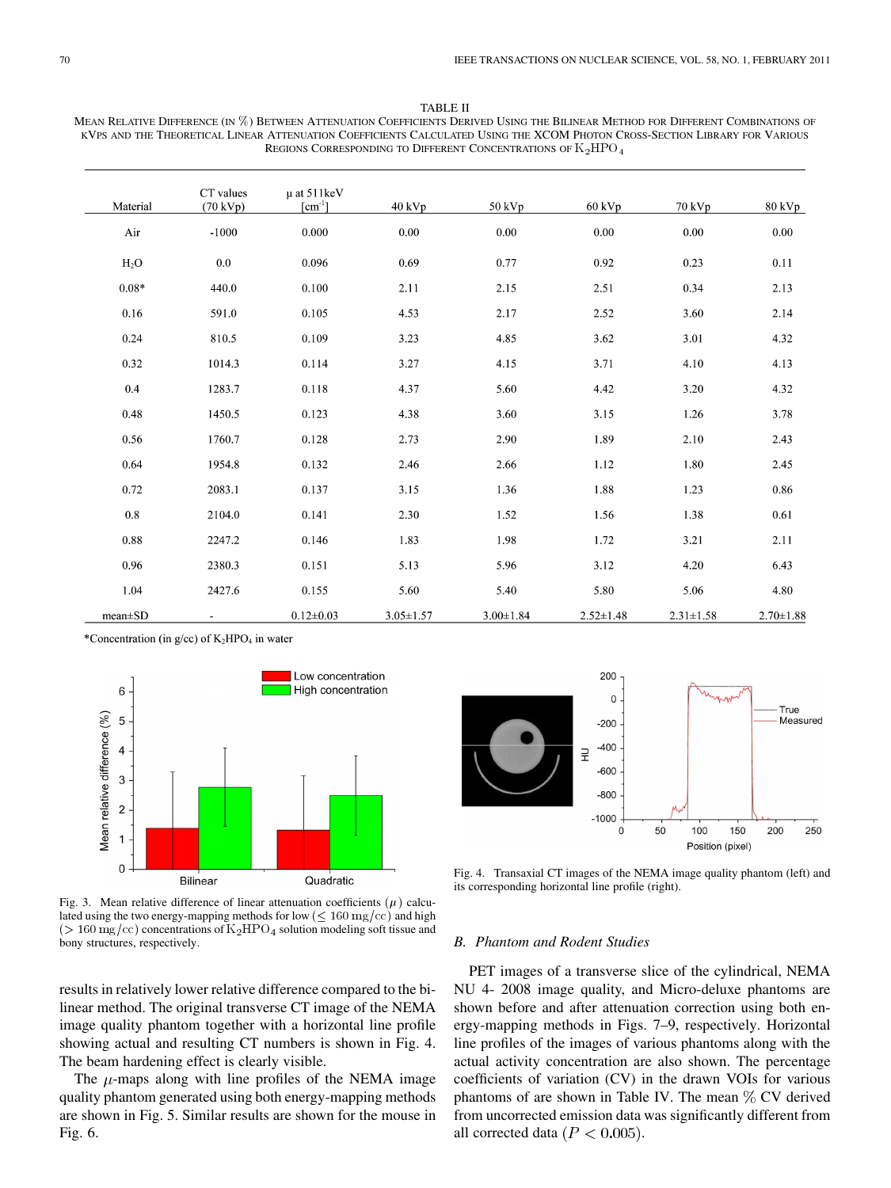#### TABLE II

MEAN RELATIVE DIFFERENCE (IN %) BETWEEN ATTENUATION COEFFICIENTS DERIVED USING THE BILINEAR METHOD FOR DIFFERENT COMBINATIONS OF KVPS AND THE THEORETICAL LINEAR ATTENUATION COEFFICIENTS CALCULATED USING THE XCOM PHOTON CROSS-SECTION LIBRARY FOR VARIOUS REGIONS CORRESPONDING TO DIFFERENT CONCENTRATIONS OF  $\mathrm{K}_2\mathrm{HPO}$ 

| Material      | CT values<br>$(70 \text{ kVp})$ | $\mu$ at 511 keV<br>$\lceil$ cm <sup>-1</sup> ] | 40 kVp          | 50 kVp          | $60$ kVp        | 70 kVp          | $80 \text{ kVp}$ |
|---------------|---------------------------------|-------------------------------------------------|-----------------|-----------------|-----------------|-----------------|------------------|
| Air           | $-1000$                         | 0.000                                           | 0.00            | 0.00            | 0.00            | 0.00            | 0.00             |
| $H_2O$        | 0.0                             | 0.096                                           | 0.69            | 0.77            | 0.92            | 0.23            | 0.11             |
| $0.08*$       | 440.0                           | 0.100                                           | 2.11            | 2.15            | 2.51            | 0.34            | 2.13             |
| 0.16          | 591.0                           | 0.105                                           | 4.53            | 2.17            | 2.52            | 3.60            | 2.14             |
| 0.24          | 810.5                           | 0.109                                           | 3.23            | 4.85            | 3.62            | 3.01            | 4.32             |
| 0.32          | 1014.3                          | 0.114                                           | 3.27            | 4.15            | 3.71            | 4.10            | 4.13             |
| 0.4           | 1283.7                          | 0.118                                           | 4.37            | 5.60            | 4.42            | 3.20            | 4.32             |
| 0.48          | 1450.5                          | 0.123                                           | 4.38            | 3.60            | 3.15            | 1.26            | 3.78             |
| 0.56          | 1760.7                          | 0.128                                           | 2.73            | 2.90            | 1.89            | 2.10            | 2.43             |
| 0.64          | 1954.8                          | 0.132                                           | 2.46            | 2.66            | 1.12            | 1.80            | 2.45             |
| 0.72          | 2083.1                          | 0.137                                           | 3.15            | 1.36            | 1.88            | 1.23            | 0.86             |
| $\rm 0.8$     | 2104.0                          | 0.141                                           | 2.30            | 1.52            | 1.56            | 1.38            | 0.61             |
| 0.88          | 2247.2                          | 0.146                                           | 1.83            | 1.98            | 1.72            | 3.21            | 2.11             |
| 0.96          | 2380.3                          | 0.151                                           | 5.13            | 5.96            | 3.12            | 4.20            | 6.43             |
| 1.04          | 2427.6                          | 0.155                                           | 5.60            | 5.40            | 5.80            | 5.06            | 4.80             |
| $mean \pm SD$ |                                 | $0.12 \pm 0.03$                                 | $3.05 \pm 1.57$ | $3.00 \pm 1.84$ | $2.52 \pm 1.48$ | $2.31 \pm 1.58$ | $2.70 \pm 1.88$  |

\*Concentration (in g/cc) of K<sub>2</sub>HPO<sub>4</sub> in water



Fig. 3. Mean relative difference of linear attenuation coefficients  $(\mu)$  calculated using the two energy-mapping methods for low ( $\leq 160 \text{ mg/cc}$ ) and high  $($  > 160 mg/cc) concentrations of  $K_2HPO_4$  solution modeling soft tissue and bony structures, respectively.

results in relatively lower relative difference compared to the bilinear method. The original transverse CT image of the NEMA image quality phantom together with a horizontal line profile showing actual and resulting CT numbers is shown in Fig. 4. The beam hardening effect is clearly visible.

The  $\mu$ -maps along with line profiles of the NEMA image quality phantom generated using both energy-mapping methods are shown in Fig. 5. Similar results are shown for the mouse in Fig. 6.



Fig. 4. Transaxial CT images of the NEMA image quality phantom (left) and its corresponding horizontal line profile (right).

### *B. Phantom and Rodent Studies*

PET images of a transverse slice of the cylindrical, NEMA NU 4- 2008 image quality, and Micro-deluxe phantoms are shown before and after attenuation correction using both energy-mapping methods in Figs. 7–9, respectively. Horizontal line profiles of the images of various phantoms along with the actual activity concentration are also shown. The percentage coefficients of variation (CV) in the drawn VOIs for various phantoms of are shown in Table IV. The mean  $\%$  CV derived from uncorrected emission data was significantly different from all corrected data ( $P < 0.005$ ).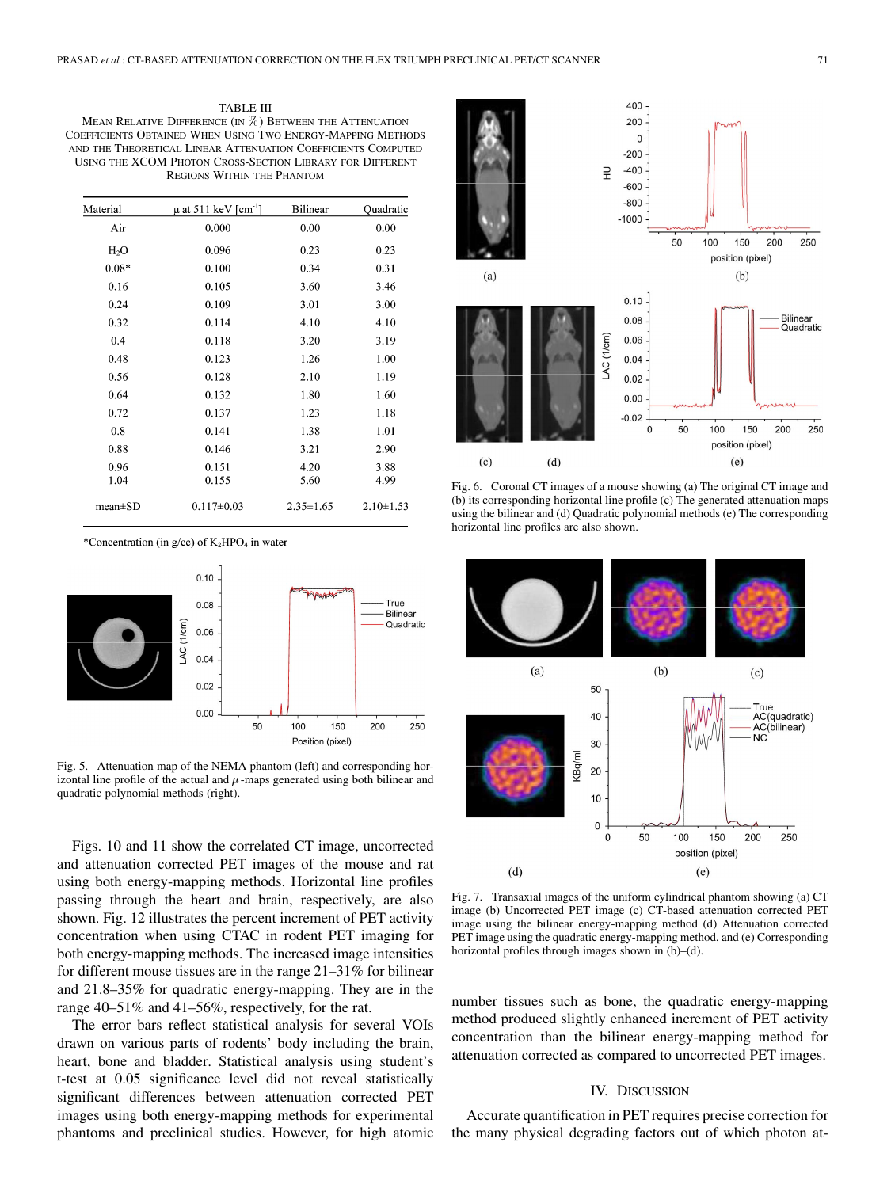TABLE III MEAN RELATIVE DIFFERENCE (IN  $\%$ ) BETWEEN THE ATTENUATION COEFFICIENTS OBTAINED WHEN USING TWO ENERGY-MAPPING METHODS AND THE THEORETICAL LINEAR ATTENUATION COEFFICIENTS COMPUTED USING THE XCOM PHOTON CROSS-SECTION LIBRARY FOR DIFFERENT REGIONS WITHIN THE PHANTOM

| Material      | $\mu$ at 511 keV [cm <sup>-1</sup> ] | <b>Bilinear</b> | Quadratic       |
|---------------|--------------------------------------|-----------------|-----------------|
| Air           | 0.000                                | 0.00            | 0.00            |
| $H_2O$        | 0.096                                | 0.23            | 0.23            |
| $0.08*$       | 0.100                                | 0.34            | 0.31            |
| 0.16          | 0.105                                | 3.60            | 3.46            |
| 0.24          | 0.109                                | 3.01            | 3.00            |
| 0.32          | 0.114                                | 4.10            | 4.10            |
| 0.4           | 0.118                                | 3.20            | 3.19            |
| 0.48          | 0.123                                | 1.26            | 1.00            |
| 0.56          | 0.128                                | 2.10            | 1.19            |
| 0.64          | 0.132                                | 1.80            | 1.60            |
| 0.72          | 0.137                                | 1.23            | 1.18            |
| 0.8           | 0.141                                | 1.38            | 1.01            |
| 0.88          | 0.146                                | 3.21            | 2.90            |
| 0.96<br>1.04  | 0.151<br>0.155                       | 4.20<br>5.60    | 3.88<br>4.99    |
| $mean \pm SD$ | $0.117 \pm 0.03$                     | $2.35 \pm 1.65$ | $2.10 \pm 1.53$ |

\*Concentration (in g/cc) of K<sub>2</sub>HPO<sub>4</sub> in water



Fig. 5. Attenuation map of the NEMA phantom (left) and corresponding horizontal line profile of the actual and  $\mu$ -maps generated using both bilinear and quadratic polynomial methods (right).

Figs. 10 and 11 show the correlated CT image, uncorrected and attenuation corrected PET images of the mouse and rat using both energy-mapping methods. Horizontal line profiles passing through the heart and brain, respectively, are also shown. Fig. 12 illustrates the percent increment of PET activity concentration when using CTAC in rodent PET imaging for both energy-mapping methods. The increased image intensities for different mouse tissues are in the range 21–31% for bilinear and 21.8–35% for quadratic energy-mapping. They are in the range 40–51% and 41–56%, respectively, for the rat.

The error bars reflect statistical analysis for several VOIs drawn on various parts of rodents' body including the brain, heart, bone and bladder. Statistical analysis using student's t-test at 0.05 significance level did not reveal statistically significant differences between attenuation corrected PET images using both energy-mapping methods for experimental phantoms and preclinical studies. However, for high atomic



Fig. 6. Coronal CT images of a mouse showing (a) The original CT image and (b) its corresponding horizontal line profile (c) The generated attenuation maps using the bilinear and (d) Quadratic polynomial methods (e) The corresponding horizontal line profiles are also shown.



Fig. 7. Transaxial images of the uniform cylindrical phantom showing (a) CT image (b) Uncorrected PET image (c) CT-based attenuation corrected PET image using the bilinear energy-mapping method (d) Attenuation corrected PET image using the quadratic energy-mapping method, and (e) Corresponding horizontal profiles through images shown in (b)–(d).

number tissues such as bone, the quadratic energy-mapping method produced slightly enhanced increment of PET activity concentration than the bilinear energy-mapping method for attenuation corrected as compared to uncorrected PET images.

## IV. DISCUSSION

Accurate quantification in PET requires precise correction for the many physical degrading factors out of which photon at-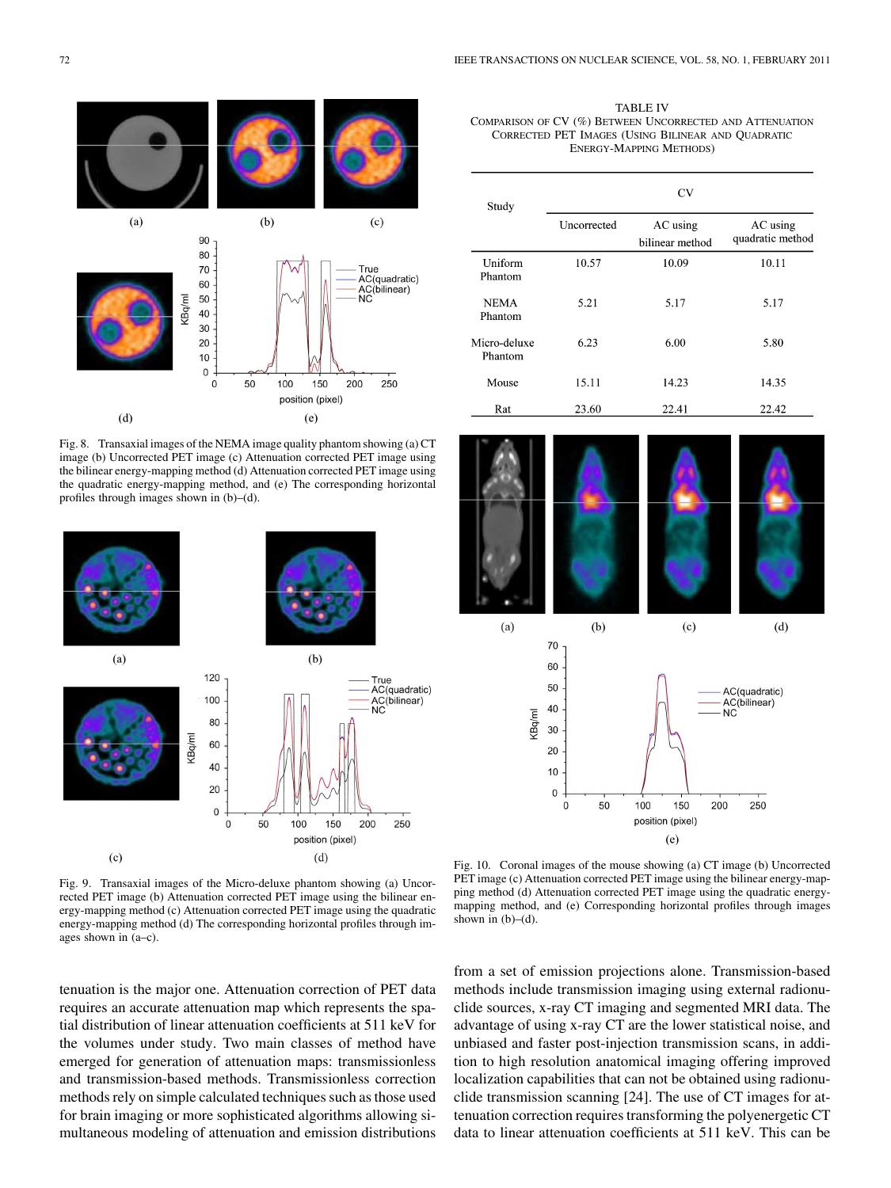

Fig. 8. Transaxial images of the NEMA image quality phantom showing (a) CT image (b) Uncorrected PET image (c) Attenuation corrected PET image using the bilinear energy-mapping method (d) Attenuation corrected PET image using the quadratic energy-mapping method, and (e) The corresponding horizontal profiles through images shown in (b)–(d).



TABLE IV COMPARISON OF CV (%) BETWEEN UNCORRECTED AND ATTENUATION CORRECTED PET IMAGES (USING BILINEAR AND QUADRATIC ENERGY-MAPPING METHODS)

| Study                   | CV                 |                             |                              |  |
|-------------------------|--------------------|-----------------------------|------------------------------|--|
|                         | <b>Uncorrected</b> | AC using<br>bilinear method | AC using<br>quadratic method |  |
| Uniform<br>Phantom      | 10.57              | 10.09                       | 10.11                        |  |
| <b>NEMA</b><br>Phantom  | 5.21               | 5.17                        | 5.17                         |  |
| Micro-deluxe<br>Phantom | 6.23               | 6.00                        | 5.80                         |  |
| Mouse                   | 15.11              | 14.23                       | 14.35                        |  |
| Rat                     | 23.60              | 22.41                       | 22.42                        |  |



Fig. 10. Coronal images of the mouse showing (a) CT image (b) Uncorrected PET image (c) Attenuation corrected PET image using the bilinear energy-mapping method (d) Attenuation corrected PET image using the quadratic energymapping method, and (e) Corresponding horizontal profiles through images shown in  $(b)$ – $(d)$ .

Fig. 9. Transaxial images of the Micro-deluxe phantom showing (a) Uncorrected PET image (b) Attenuation corrected PET image using the bilinear energy-mapping method (c) Attenuation corrected PET image using the quadratic energy-mapping method (d) The corresponding horizontal profiles through images shown in (a–c).

tenuation is the major one. Attenuation correction of PET data requires an accurate attenuation map which represents the spatial distribution of linear attenuation coefficients at 511 keV for the volumes under study. Two main classes of method have emerged for generation of attenuation maps: transmissionless and transmission-based methods. Transmissionless correction methods rely on simple calculated techniques such as those used for brain imaging or more sophisticated algorithms allowing simultaneous modeling of attenuation and emission distributions from a set of emission projections alone. Transmission-based methods include transmission imaging using external radionuclide sources, x-ray CT imaging and segmented MRI data. The advantage of using x-ray CT are the lower statistical noise, and unbiased and faster post-injection transmission scans, in addition to high resolution anatomical imaging offering improved localization capabilities that can not be obtained using radionuclide transmission scanning [24]. The use of CT images for attenuation correction requires transforming the polyenergetic CT data to linear attenuation coefficients at 511 keV. This can be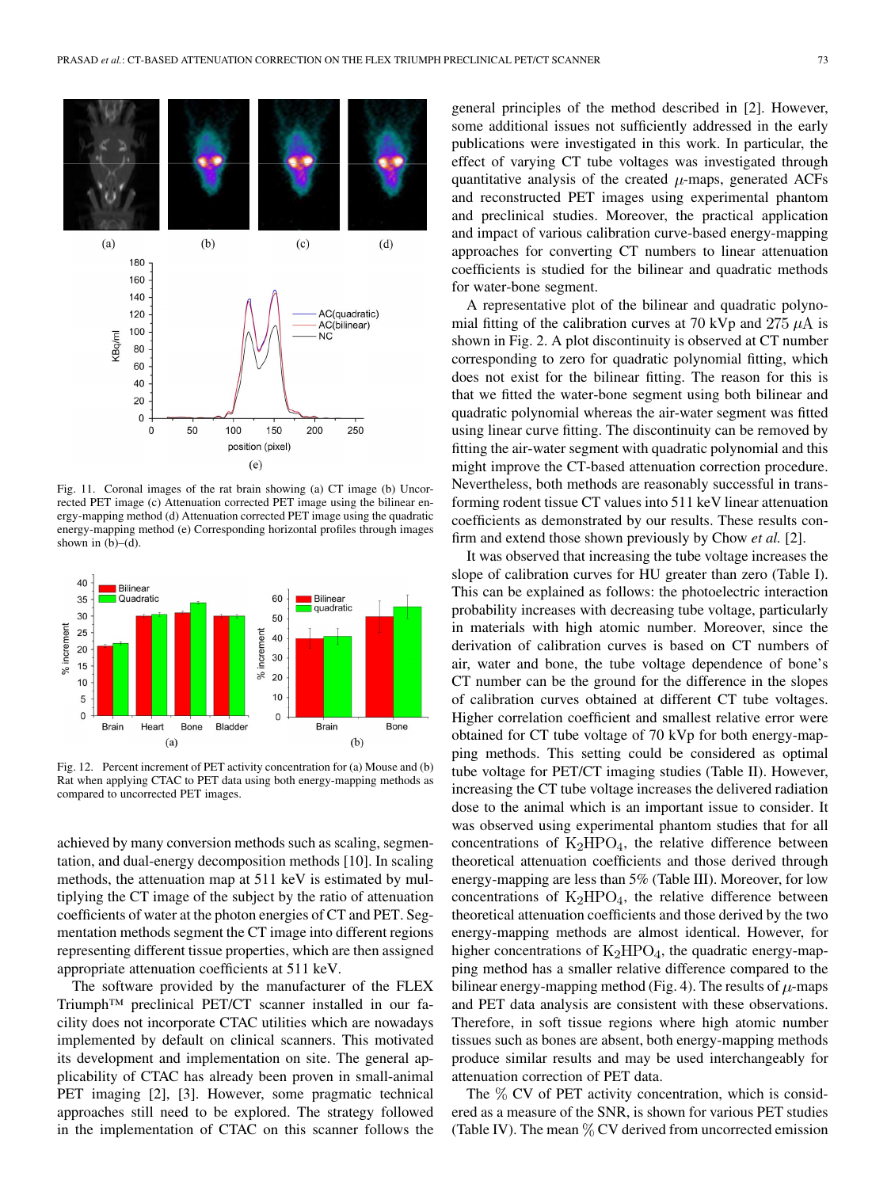

Fig. 11. Coronal images of the rat brain showing (a) CT image (b) Uncorrected PET image (c) Attenuation corrected PET image using the bilinear energy-mapping method (d) Attenuation corrected PET image using the quadratic energy-mapping method (e) Corresponding horizontal profiles through images shown in  $(b)$ – $(d)$ .



Fig. 12. Percent increment of PET activity concentration for (a) Mouse and (b) Rat when applying CTAC to PET data using both energy-mapping methods as compared to uncorrected PET images.

achieved by many conversion methods such as scaling, segmentation, and dual-energy decomposition methods [10]. In scaling methods, the attenuation map at 511 keV is estimated by multiplying the CT image of the subject by the ratio of attenuation coefficients of water at the photon energies of CT and PET. Segmentation methods segment the CT image into different regions representing different tissue properties, which are then assigned appropriate attenuation coefficients at 511 keV.

The software provided by the manufacturer of the FLEX Triumph™ preclinical PET/CT scanner installed in our facility does not incorporate CTAC utilities which are nowadays implemented by default on clinical scanners. This motivated its development and implementation on site. The general applicability of CTAC has already been proven in small-animal PET imaging [2], [3]. However, some pragmatic technical approaches still need to be explored. The strategy followed in the implementation of CTAC on this scanner follows the general principles of the method described in [2]. However, some additional issues not sufficiently addressed in the early publications were investigated in this work. In particular, the effect of varying CT tube voltages was investigated through quantitative analysis of the created  $\mu$ -maps, generated ACFs and reconstructed PET images using experimental phantom and preclinical studies. Moreover, the practical application and impact of various calibration curve-based energy-mapping approaches for converting CT numbers to linear attenuation coefficients is studied for the bilinear and quadratic methods for water-bone segment.

A representative plot of the bilinear and quadratic polynomial fitting of the calibration curves at 70 kVp and 275  $\mu$ A is shown in Fig. 2. A plot discontinuity is observed at CT number corresponding to zero for quadratic polynomial fitting, which does not exist for the bilinear fitting. The reason for this is that we fitted the water-bone segment using both bilinear and quadratic polynomial whereas the air-water segment was fitted using linear curve fitting. The discontinuity can be removed by fitting the air-water segment with quadratic polynomial and this might improve the CT-based attenuation correction procedure. Nevertheless, both methods are reasonably successful in transforming rodent tissue CT values into 511 keV linear attenuation coefficients as demonstrated by our results. These results confirm and extend those shown previously by Chow *et al.* [2].

It was observed that increasing the tube voltage increases the slope of calibration curves for HU greater than zero (Table I). This can be explained as follows: the photoelectric interaction probability increases with decreasing tube voltage, particularly in materials with high atomic number. Moreover, since the derivation of calibration curves is based on CT numbers of air, water and bone, the tube voltage dependence of bone's CT number can be the ground for the difference in the slopes of calibration curves obtained at different CT tube voltages. Higher correlation coefficient and smallest relative error were obtained for CT tube voltage of 70 kVp for both energy-mapping methods. This setting could be considered as optimal tube voltage for PET/CT imaging studies (Table II). However, increasing the CT tube voltage increases the delivered radiation dose to the animal which is an important issue to consider. It was observed using experimental phantom studies that for all concentrations of  $K_2HPO_4$ , the relative difference between theoretical attenuation coefficients and those derived through energy-mapping are less than 5% (Table III). Moreover, for low concentrations of  $K_2HPO_4$ , the relative difference between theoretical attenuation coefficients and those derived by the two energy-mapping methods are almost identical. However, for higher concentrations of  $K_2HPO_4$ , the quadratic energy-mapping method has a smaller relative difference compared to the bilinear energy-mapping method (Fig. 4). The results of  $\mu$ -maps and PET data analysis are consistent with these observations. Therefore, in soft tissue regions where high atomic number tissues such as bones are absent, both energy-mapping methods produce similar results and may be used interchangeably for attenuation correction of PET data.

The  $\%$  CV of PET activity concentration, which is considered as a measure of the SNR, is shown for various PET studies (Table IV). The mean  $\%$  CV derived from uncorrected emission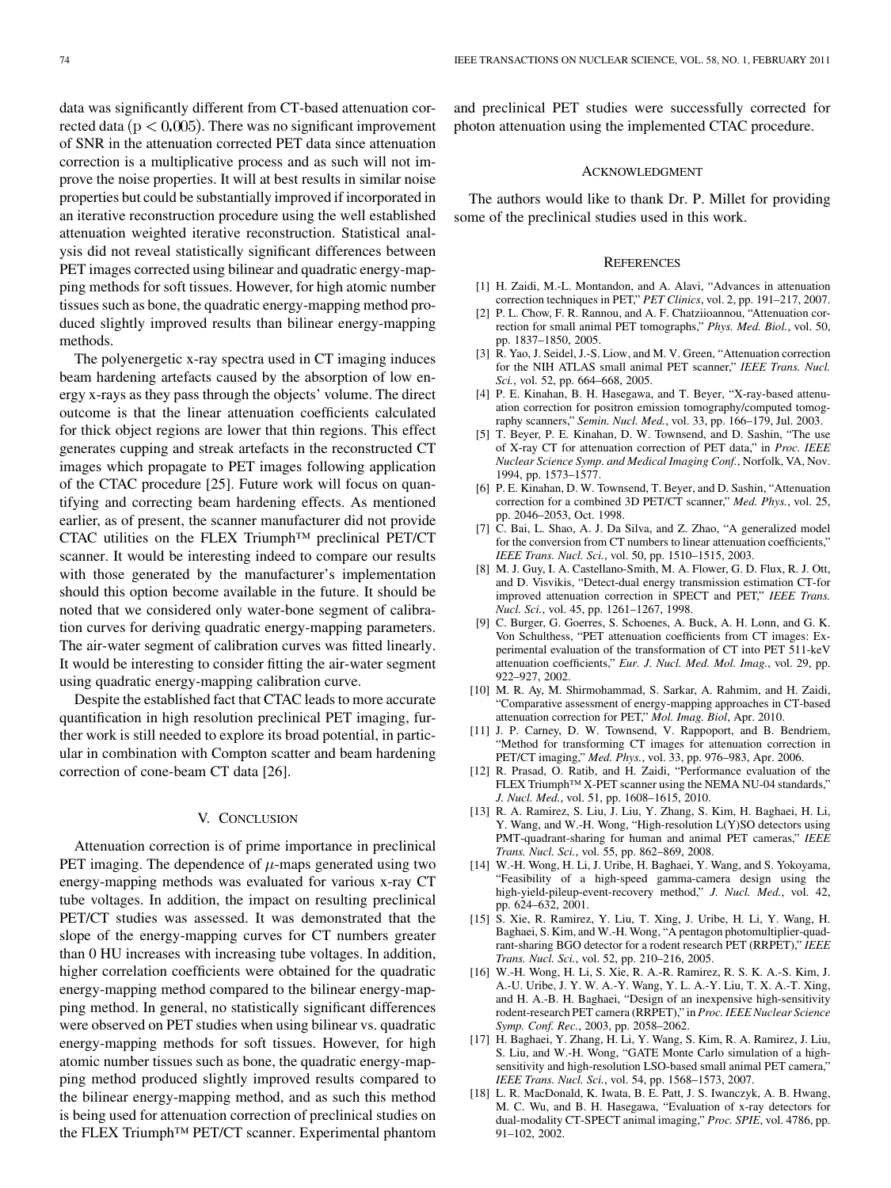data was significantly different from CT-based attenuation corrected data ( $p < 0.005$ ). There was no significant improvement of SNR in the attenuation corrected PET data since attenuation correction is a multiplicative process and as such will not improve the noise properties. It will at best results in similar noise properties but could be substantially improved if incorporated in an iterative reconstruction procedure using the well established attenuation weighted iterative reconstruction. Statistical analysis did not reveal statistically significant differences between PET images corrected using bilinear and quadratic energy-mapping methods for soft tissues. However, for high atomic number tissues such as bone, the quadratic energy-mapping method produced slightly improved results than bilinear energy-mapping methods.

The polyenergetic x-ray spectra used in CT imaging induces beam hardening artefacts caused by the absorption of low energy x-rays as they pass through the objects' volume. The direct outcome is that the linear attenuation coefficients calculated for thick object regions are lower that thin regions. This effect generates cupping and streak artefacts in the reconstructed CT images which propagate to PET images following application of the CTAC procedure [25]. Future work will focus on quantifying and correcting beam hardening effects. As mentioned earlier, as of present, the scanner manufacturer did not provide CTAC utilities on the FLEX Triumph™ preclinical PET/CT scanner. It would be interesting indeed to compare our results with those generated by the manufacturer's implementation should this option become available in the future. It should be noted that we considered only water-bone segment of calibration curves for deriving quadratic energy-mapping parameters. The air-water segment of calibration curves was fitted linearly. It would be interesting to consider fitting the air-water segment using quadratic energy-mapping calibration curve.

Despite the established fact that CTAC leads to more accurate quantification in high resolution preclinical PET imaging, further work is still needed to explore its broad potential, in particular in combination with Compton scatter and beam hardening correction of cone-beam CT data [26].

#### V. CONCLUSION

Attenuation correction is of prime importance in preclinical PET imaging. The dependence of  $\mu$ -maps generated using two energy-mapping methods was evaluated for various x-ray CT tube voltages. In addition, the impact on resulting preclinical PET/CT studies was assessed. It was demonstrated that the slope of the energy-mapping curves for CT numbers greater than 0 HU increases with increasing tube voltages. In addition, higher correlation coefficients were obtained for the quadratic energy-mapping method compared to the bilinear energy-mapping method. In general, no statistically significant differences were observed on PET studies when using bilinear vs. quadratic energy-mapping methods for soft tissues. However, for high atomic number tissues such as bone, the quadratic energy-mapping method produced slightly improved results compared to the bilinear energy-mapping method, and as such this method is being used for attenuation correction of preclinical studies on the FLEX Triumph<sup>™</sup> PET/CT scanner. Experimental phantom

and preclinical PET studies were successfully corrected for photon attenuation using the implemented CTAC procedure.

#### ACKNOWLEDGMENT

The authors would like to thank Dr. P. Millet for providing some of the preclinical studies used in this work.

#### **REFERENCES**

- [1] H. Zaidi, M.-L. Montandon, and A. Alavi, "Advances in attenuation correction techniques in PET," *PET Clinics*, vol. 2, pp. 191–217, 2007.
- [2] P. L. Chow, F. R. Rannou, and A. F. Chatziioannou, "Attenuation correction for small animal PET tomographs," *Phys. Med. Biol.*, vol. 50, pp. 1837–1850, 2005.
- [3] R. Yao, J. Seidel, J.-S. Liow, and M. V. Green, "Attenuation correction for the NIH ATLAS small animal PET scanner," *IEEE Trans. Nucl. Sci.*, vol. 52, pp. 664–668, 2005.
- [4] P. E. Kinahan, B. H. Hasegawa, and T. Beyer, "X-ray-based attenuation correction for positron emission tomography/computed tomography scanners," *Semin. Nucl. Med.*, vol. 33, pp. 166–179, Jul. 2003.
- [5] T. Beyer, P. E. Kinahan, D. W. Townsend, and D. Sashin, "The use of X-ray CT for attenuation correction of PET data," in *Proc. IEEE Nuclear Science Symp. and Medical Imaging Conf.*, Norfolk, VA, Nov. 1994, pp. 1573–1577.
- [6] P. E. Kinahan, D. W. Townsend, T. Beyer, and D. Sashin, "Attenuation correction for a combined 3D PET/CT scanner," *Med. Phys.*, vol. 25, pp. 2046–2053, Oct. 1998.
- [7] C. Bai, L. Shao, A. J. Da Silva, and Z. Zhao, "A generalized model for the conversion from CT numbers to linear attenuation coefficients," *IEEE Trans. Nucl. Sci.*, vol. 50, pp. 1510–1515, 2003.
- [8] M. J. Guy, I. A. Castellano-Smith, M. A. Flower, G. D. Flux, R. J. Ott, and D. Visvikis, "Detect-dual energy transmission estimation CT-for improved attenuation correction in SPECT and PET," *IEEE Trans. Nucl. Sci.*, vol. 45, pp. 1261–1267, 1998.
- [9] C. Burger, G. Goerres, S. Schoenes, A. Buck, A. H. Lonn, and G. K. Von Schulthess, "PET attenuation coefficients from CT images: Experimental evaluation of the transformation of CT into PET 511-keV attenuation coefficients," *Eur. J. Nucl. Med. Mol. Imag.*, vol. 29, pp. 922–927, 2002.
- [10] M. R. Ay, M. Shirmohammad, S. Sarkar, A. Rahmim, and H. Zaidi, "Comparative assessment of energy-mapping approaches in CT-based attenuation correction for PET," *Mol. Imag. Biol*, Apr. 2010.
- [11] J. P. Carney, D. W. Townsend, V. Rappoport, and B. Bendriem, "Method for transforming CT images for attenuation correction in PET/CT imaging," *Med. Phys.*, vol. 33, pp. 976–983, Apr. 2006.
- [12] R. Prasad, O. Ratib, and H. Zaidi, "Performance evaluation of the FLEX Triumph™ X-PET scanner using the NEMA NU-04 standards," *J. Nucl. Med.*, vol. 51, pp. 1608–1615, 2010.
- [13] R. A. Ramirez, S. Liu, J. Liu, Y. Zhang, S. Kim, H. Baghaei, H. Li, Y. Wang, and W.-H. Wong, "High-resolution L(Y)SO detectors using PMT-quadrant-sharing for human and animal PET cameras," *IEEE Trans. Nucl. Sci.*, vol. 55, pp. 862–869, 2008.
- [14] W.-H. Wong, H. Li, J. Uribe, H. Baghaei, Y. Wang, and S. Yokoyama, "Feasibility of a high-speed gamma-camera design using the high-yield-pileup-event-recovery method," *J. Nucl. Med.*, vol. 42, pp. 624–632, 2001.
- [15] S. Xie, R. Ramirez, Y. Liu, T. Xing, J. Uribe, H. Li, Y. Wang, H. Baghaei, S. Kim, and W.-H. Wong, "A pentagon photomultiplier-quadrant-sharing BGO detector for a rodent research PET (RRPET)," *IEEE Trans. Nucl. Sci.*, vol. 52, pp. 210–216, 2005.
- [16] W.-H. Wong, H. Li, S. Xie, R. A.-R. Ramirez, R. S. K. A.-S. Kim, J. A.-U. Uribe, J. Y. W. A.-Y. Wang, Y. L. A.-Y. Liu, T. X. A.-T. Xing, and H. A.-B. H. Baghaei, "Design of an inexpensive high-sensitivity rodent-research PET camera (RRPET)," in *Proc. IEEE Nuclear Science Symp. Conf. Rec.*, 2003, pp. 2058–2062.
- [17] H. Baghaei, Y. Zhang, H. Li, Y. Wang, S. Kim, R. A. Ramirez, J. Liu, S. Liu, and W.-H. Wong, "GATE Monte Carlo simulation of a highsensitivity and high-resolution LSO-based small animal PET camera," *IEEE Trans. Nucl. Sci.*, vol. 54, pp. 1568–1573, 2007.
- [18] L. R. MacDonald, K. Iwata, B. E. Patt, J. S. Iwanczyk, A. B. Hwang, M. C. Wu, and B. H. Hasegawa, "Evaluation of x-ray detectors for dual-modality CT-SPECT animal imaging," *Proc. SPIE*, vol. 4786, pp. 91–102, 2002.